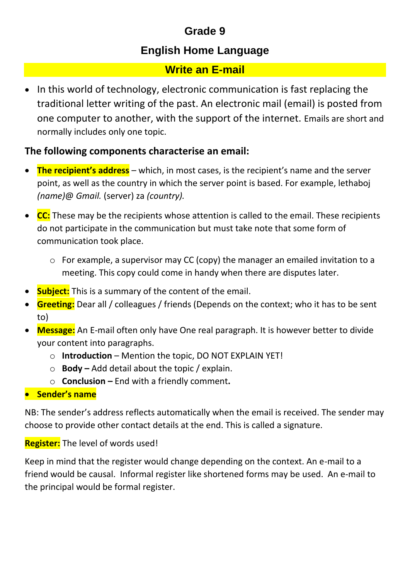# **Grade 9**

## **English Home Language**

## **Write an E-mail**

• In this world of technology, electronic communication is fast replacing the traditional letter writing of the past. An electronic mail (email) is posted from one computer to another, with the support of the internet. Emails are short and normally includes only one topic.

## **The following components characterise an email:**

- **The recipient's address** which, in most cases, is the recipient's name and the server point, as well as the country in which the server point is based. For example, lethaboj *(name)*@ *Gmail.* (server) za *(country).*
- **CC:** These may be the recipients whose attention is called to the email. These recipients do not participate in the communication but must take note that some form of communication took place.
	- o For example, a supervisor may CC (copy) the manager an emailed invitation to a meeting. This copy could come in handy when there are disputes later.
- **Subject:** This is a summary of the content of the email.
- **Greeting:** Dear all / colleagues / friends (Depends on the context; who it has to be sent to)
- **Message:** An E-mail often only have One real paragraph. It is however better to divide your content into paragraphs.
	- o **Introduction** Mention the topic, DO NOT EXPLAIN YET!
	- o **Body –** Add detail about the topic / explain.
	- o **Conclusion –** End with a friendly comment**.**
- **Sender's name**

NB: The sender's address reflects automatically when the email is received. The sender may choose to provide other contact details at the end. This is called a signature.

### **Register:** The level of words used!

Keep in mind that the register would change depending on the context. An e-mail to a friend would be causal. Informal register like shortened forms may be used. An e-mail to the principal would be formal register.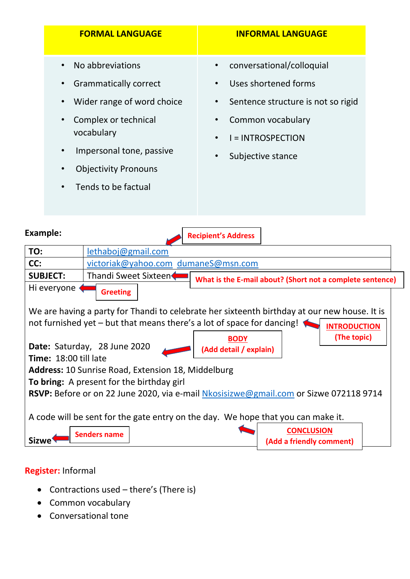|                                               |                                                                                         | <b>FORMAL LANGUAGE</b>                                                                                                                                                                                 |                                                                            | <b>INFORMAL LANGUAGE</b>                                                                                                                                      |  |
|-----------------------------------------------|-----------------------------------------------------------------------------------------|--------------------------------------------------------------------------------------------------------------------------------------------------------------------------------------------------------|----------------------------------------------------------------------------|---------------------------------------------------------------------------------------------------------------------------------------------------------------|--|
|                                               | $\bullet$<br>$\bullet$<br>$\bullet$<br>$\bullet$<br>$\bullet$<br>$\bullet$<br>$\bullet$ | No abbreviations<br><b>Grammatically correct</b><br>Wider range of word choice<br>Complex or technical<br>vocabulary<br>Impersonal tone, passive<br><b>Objectivity Pronouns</b><br>Tends to be factual | $\bullet$<br>$\bullet$<br>$\bullet$<br>$\bullet$<br>$\bullet$<br>$\bullet$ | conversational/colloquial<br>Uses shortened forms<br>Sentence structure is not so rigid<br>Common vocabulary<br><b>I = INTROSPECTION</b><br>Subjective stance |  |
| <b>Example:</b><br><b>Recipient's Address</b> |                                                                                         |                                                                                                                                                                                                        |                                                                            |                                                                                                                                                               |  |
| TO:                                           | lethaboj@gmail.com                                                                      |                                                                                                                                                                                                        |                                                                            |                                                                                                                                                               |  |
| CC:                                           |                                                                                         | victoriak@yahoo.com dumaneS@msn.com                                                                                                                                                                    |                                                                            |                                                                                                                                                               |  |
| CLIDIECT.                                     |                                                                                         | Thandi Curact Civtoon                                                                                                                                                                                  |                                                                            |                                                                                                                                                               |  |

**Greeting SUBJECT:** Thandi Sweet Sixteen Hi everyone **What is the E-mail about? (Short not a complete sentence)**

We are having a party for Thandi to celebrate her sixteenth birthday at our new house. It is not furnished yet – but that means there's a lot of space for dancing! **INTRODUCTION**



### **Register:** Informal

- Contractions used there's (There is)
- Common vocabulary
- Conversational tone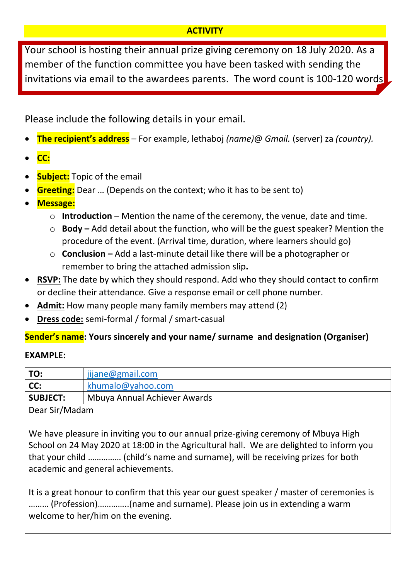#### **ACTIVITY**

Your school is hosting their annual prize giving ceremony on 18 July 2020. As a member of the function committee you have been tasked with sending the invitations via email to the awardees parents. The word count is 100-120 words

Please include the following details in your email.

- **The recipient's address** For example, lethaboj *(name)*@ *Gmail.* (server) za *(country).*
- **CC:**
- **Subject:** Topic of the email
- **Greeting:** Dear … (Depends on the context; who it has to be sent to)
- **Message:**
	- o **Introduction** Mention the name of the ceremony, the venue, date and time.
	- o **Body –** Add detail about the function, who will be the guest speaker? Mention the procedure of the event. (Arrival time, duration, where learners should go)
	- o **Conclusion –** Add a last-minute detail like there will be a photographer or remember to bring the attached admission slip**.**
- **RSVP:** The date by which they should respond. Add who they should contact to confirm or decline their attendance. Give a response email or cell phone number.
- **Admit:** How many people many family members may attend (2)
- **Dress code:** semi-formal / formal / smart-casual

### **Sender's name: Yours sincerely and your name/ surname and designation (Organiser)**

#### **EXAMPLE:**

| TO:                           | ijjane@gmail.com             |  |  |
|-------------------------------|------------------------------|--|--|
| CC:                           | khumalo@yahoo.com            |  |  |
| SUBJECT:                      | Mbuya Annual Achiever Awards |  |  |
| $\Gamma$ Decay C:n/A Agaletas |                              |  |  |

Dear Sir/Madam

We have pleasure in inviting you to our annual prize-giving ceremony of Mbuya High School on 24 May 2020 at 18:00 in the Agricultural hall. We are delighted to inform you that your child …………… (child's name and surname), will be receiving prizes for both academic and general achievements.

It is a great honour to confirm that this year our guest speaker / master of ceremonies is ……… (Profession)…………..(name and surname). Please join us in extending a warm welcome to her/him on the evening.